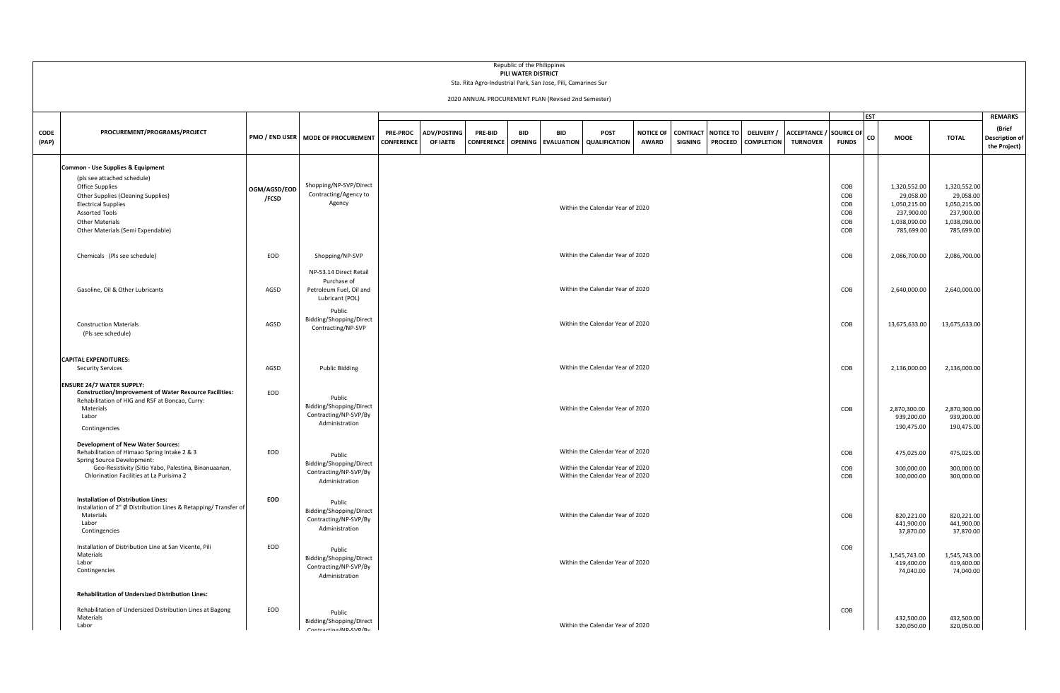|               |                                                                                                                                                                                                                                                        |                       |                                                                                     |                                      |                                |                              | Republic of the Philippines<br>PILI WATER DISTRICT | Sta. Rita Agro-Industrial Park, San Jose, Pili, Camarines Sur |                                                                      |                                  |                            |                             |                                       |                                                  |                                        |            |                                                                                       |                                                                                       |                                                 |
|---------------|--------------------------------------------------------------------------------------------------------------------------------------------------------------------------------------------------------------------------------------------------------|-----------------------|-------------------------------------------------------------------------------------|--------------------------------------|--------------------------------|------------------------------|----------------------------------------------------|---------------------------------------------------------------|----------------------------------------------------------------------|----------------------------------|----------------------------|-----------------------------|---------------------------------------|--------------------------------------------------|----------------------------------------|------------|---------------------------------------------------------------------------------------|---------------------------------------------------------------------------------------|-------------------------------------------------|
|               |                                                                                                                                                                                                                                                        |                       |                                                                                     |                                      |                                |                              |                                                    | 2020 ANNUAL PROCUREMENT PLAN (Revised 2nd Semester)           |                                                                      |                                  |                            |                             |                                       |                                                  |                                        |            |                                                                                       |                                                                                       |                                                 |
|               |                                                                                                                                                                                                                                                        |                       |                                                                                     |                                      |                                |                              |                                                    |                                                               |                                                                      |                                  |                            |                             |                                       |                                                  |                                        | <b>EST</b> |                                                                                       |                                                                                       | <b>REMARKS</b>                                  |
| CODE<br>(PAP) | PROCUREMENT/PROGRAMS/PROJECT                                                                                                                                                                                                                           | PMO / END USER        | <b>MODE OF PROCUREMENT</b>                                                          | <b>PRE-PROC</b><br><b>CONFERENCE</b> | <b>ADV/POSTING</b><br>OF IAETB | PRE-BID<br><b>CONFERENCE</b> | <b>BID</b><br><b>OPENING</b>                       | <b>BID</b><br><b>EVALUATION</b>                               | <b>POST</b><br><b>QUALIFICATION</b>                                  | <b>NOTICE OF</b><br><b>AWARD</b> | <b>CONTRACT</b><br>SIGNING | <b>NOTICE TO</b><br>PROCEED | <b>DELIVERY/</b><br><b>COMPLETION</b> | <b>ACCEPTANCE / SOURCE OF</b><br><b>TURNOVER</b> | <b>FUNDS</b>                           | co         | <b>MOOE</b>                                                                           | <b>TOTAL</b>                                                                          | (Brief<br><b>Description of</b><br>the Project) |
|               | Common - Use Supplies & Equipment<br>(pls see attached schedule)<br><b>Office Supplies</b><br>Other Supplies (Cleaning Supplies)<br><b>Electrical Supplies</b><br><b>Assorted Tools</b><br><b>Other Materials</b><br>Other Materials (Semi Expendable) | OGM/AGSD/EOD<br>/FCSD | Shopping/NP-SVP/Direct<br>Contracting/Agency to<br>Agency                           |                                      |                                |                              |                                                    |                                                               | Within the Calendar Year of 2020                                     |                                  |                            |                             |                                       |                                                  | COB<br>COB<br>COB<br>COB<br>COB<br>COB |            | 1,320,552.00<br>29,058.00<br>1,050,215.00<br>237,900.00<br>1,038,090.00<br>785,699.00 | 1,320,552.00<br>29,058.00<br>1,050,215.00<br>237,900.00<br>1,038,090.00<br>785,699.00 |                                                 |
|               | Chemicals (Pls see schedule)                                                                                                                                                                                                                           | EOD                   | Shopping/NP-SVP                                                                     |                                      |                                |                              |                                                    |                                                               | Within the Calendar Year of 2020                                     |                                  |                            |                             |                                       |                                                  | COB                                    |            | 2,086,700.00                                                                          | 2,086,700.00                                                                          |                                                 |
|               | Gasoline, Oil & Other Lubricants                                                                                                                                                                                                                       | AGSD                  | NP-53.14 Direct Retail<br>Purchase of<br>Petroleum Fuel, Oil and<br>Lubricant (POL) |                                      |                                |                              |                                                    |                                                               | Within the Calendar Year of 2020                                     |                                  |                            |                             |                                       |                                                  | COB                                    |            | 2,640,000.00                                                                          | 2,640,000.00                                                                          |                                                 |
|               | <b>Construction Materials</b><br>(Pls see schedule)                                                                                                                                                                                                    | AGSD                  | Public<br>Bidding/Shopping/Direct<br>Contracting/NP-SVP                             |                                      |                                |                              |                                                    |                                                               | Within the Calendar Year of 2020                                     |                                  |                            |                             |                                       |                                                  | COB                                    |            | 13,675,633.00                                                                         | 13,675,633.00                                                                         |                                                 |
|               | <b>CAPITAL EXPENDITURES:</b><br><b>Security Services</b>                                                                                                                                                                                               | AGSD                  | <b>Public Bidding</b>                                                               |                                      |                                |                              |                                                    |                                                               | Within the Calendar Year of 2020                                     |                                  |                            |                             |                                       |                                                  | COB                                    |            | 2,136,000.00                                                                          | 2,136,000.00                                                                          |                                                 |
|               | <b>ENSURE 24/7 WATER SUPPLY:</b><br><b>Construction/Improvement of Water Resource Facilities:</b><br>Rehabilitation of HIG and RSF at Boncao, Curry:<br>Materials<br>Labor<br>Contingencies                                                            | EOD                   | Public<br>Bidding/Shopping/Direct<br>Contracting/NP-SVP/By<br>Administration        |                                      |                                |                              |                                                    |                                                               | Within the Calendar Year of 2020                                     |                                  |                            |                             |                                       |                                                  | COB                                    |            | 2,870,300.00<br>939,200.00<br>190,475.00                                              | 2,870,300.00<br>939,200.00<br>190,475.00                                              |                                                 |
|               | <b>Development of New Water Sources:</b><br>Rehabilitation of Himaao Spring Intake 2 & 3<br>Spring Source Development:                                                                                                                                 | EOD                   | Public<br>Bidding/Shopping/Direct                                                   |                                      |                                |                              |                                                    |                                                               | Within the Calendar Year of 2020                                     |                                  |                            |                             |                                       |                                                  | COB                                    |            | 475,025.00                                                                            | 475,025.00                                                                            |                                                 |
|               | Geo-Resistivity (Sitio Yabo, Palestina, Binanuaanan,<br>Chlorination Facilities at La Purisima 2                                                                                                                                                       |                       | Contracting/NP-SVP/By<br>Administration                                             |                                      |                                |                              |                                                    |                                                               | Within the Calendar Year of 2020<br>Within the Calendar Year of 2020 |                                  |                            |                             |                                       |                                                  | COB<br>COB                             |            | 300,000.00<br>300,000.00                                                              | 300,000.00<br>300,000.00                                                              |                                                 |
|               | <b>Installation of Distribution Lines:</b><br>Installation of 2" Ø Distribution Lines & Retapping/ Transfer of<br>Materials<br>Labor<br>Contingencies                                                                                                  | EOD                   | Public<br>Bidding/Shopping/Direct<br>Contracting/NP-SVP/By<br>Administration        |                                      |                                |                              |                                                    |                                                               | Within the Calendar Year of 2020                                     |                                  |                            |                             |                                       |                                                  | COB                                    |            | 820,221.00<br>441,900.00<br>37,870.00                                                 | 820,221.00<br>441,900.00<br>37,870.00                                                 |                                                 |
|               | Installation of Distribution Line at San Vicente, Pili<br>Materials<br>Labor<br>Contingencies                                                                                                                                                          | EOD                   | Public<br>Bidding/Shopping/Direct<br>Contracting/NP-SVP/By<br>Administration        |                                      |                                |                              |                                                    |                                                               | Within the Calendar Year of 2020                                     |                                  |                            |                             |                                       |                                                  | COB                                    |            | 1,545,743.00<br>419,400.00<br>74,040.00                                               | 1.545.743.00<br>419,400.00<br>74,040.00                                               |                                                 |
|               | <b>Rehabilitation of Undersized Distribution Lines:</b><br>Rehabilitation of Undersized Distribution Lines at Bagong<br>Materials                                                                                                                      | EOD                   | Public                                                                              |                                      |                                |                              |                                                    |                                                               |                                                                      |                                  |                            |                             |                                       |                                                  | COB                                    |            |                                                                                       |                                                                                       |                                                 |
|               | Labor                                                                                                                                                                                                                                                  |                       | Bidding/Shopping/Direct<br>Contracting/ND-SVD/Rv                                    |                                      |                                |                              |                                                    |                                                               | Within the Calendar Year of 2020                                     |                                  |                            |                             |                                       |                                                  |                                        |            | 432,500.00<br>320,050.00                                                              | 432,500.00<br>320,050.00                                                              |                                                 |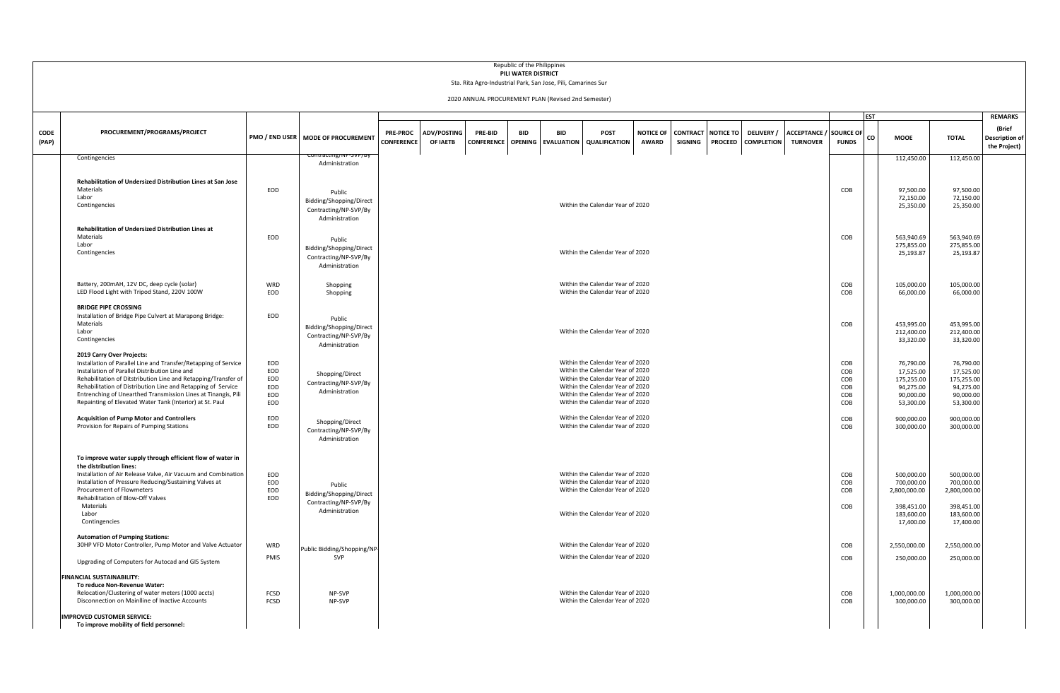|               |                                                                                                                                                                                                                                                                                                                                                                                                               |                                        |                                                                              |                                      |                         |                                      | PILI WATER DISTRICT | Republic of the Philippines<br>Sta. Rita Agro-Industrial Park, San Jose, Pili, Camarines Sur<br>2020 ANNUAL PROCUREMENT PLAN (Revised 2nd Semester) |                                                                                                                                                                                                                      |                                  |                            |                                    |                                        |                                        |                                                      |                                                                                   |                                                                                   |                                                                   |
|---------------|---------------------------------------------------------------------------------------------------------------------------------------------------------------------------------------------------------------------------------------------------------------------------------------------------------------------------------------------------------------------------------------------------------------|----------------------------------------|------------------------------------------------------------------------------|--------------------------------------|-------------------------|--------------------------------------|---------------------|-----------------------------------------------------------------------------------------------------------------------------------------------------|----------------------------------------------------------------------------------------------------------------------------------------------------------------------------------------------------------------------|----------------------------------|----------------------------|------------------------------------|----------------------------------------|----------------------------------------|------------------------------------------------------|-----------------------------------------------------------------------------------|-----------------------------------------------------------------------------------|-------------------------------------------------------------------|
| CODE<br>(PAP) | PROCUREMENT/PROGRAMS/PROJECT                                                                                                                                                                                                                                                                                                                                                                                  |                                        | PMO / END USER   MODE OF PROCUREMENT                                         | <b>PRE-PROC</b><br><b>CONFERENCE</b> | ADV/POSTING<br>OF IAETB | PRE-BID<br><b>CONFERENCE OPENING</b> | <b>BID</b>          | <b>BID</b>                                                                                                                                          | POST<br><b>EVALUATION</b> QUALIFICATION                                                                                                                                                                              | <b>NOTICE OF</b><br><b>AWARD</b> | CONTRACT<br><b>SIGNING</b> | <b>NOTICE TO</b><br><b>PROCEED</b> | <b>DELIVERY</b> /<br><b>COMPLETION</b> | <b>ACCEPTANCE</b> /<br><b>TURNOVER</b> | <b>EST</b><br><b>SOURCE OF</b><br>co<br><b>FUNDS</b> | <b>MOOE</b>                                                                       | <b>TOTAL</b>                                                                      | <b>REMARKS</b><br>(Brief<br><b>Description of</b><br>the Project) |
|               | Contingencies                                                                                                                                                                                                                                                                                                                                                                                                 |                                        | Administration                                                               |                                      |                         |                                      |                     |                                                                                                                                                     |                                                                                                                                                                                                                      |                                  |                            |                                    |                                        |                                        |                                                      | 112,450.00                                                                        | 112,450.00                                                                        |                                                                   |
|               | Rehabilitation of Undersized Distribution Lines at San Jose<br>Materials<br>Labor<br>Contingencies                                                                                                                                                                                                                                                                                                            | EOD                                    | Public<br>Bidding/Shopping/Direct<br>Contracting/NP-SVP/By<br>Administration |                                      |                         |                                      |                     |                                                                                                                                                     | Within the Calendar Year of 2020                                                                                                                                                                                     |                                  |                            |                                    |                                        |                                        | COB                                                  | 97,500.00<br>72,150.00<br>25,350.00                                               | 97,500.00<br>72,150.00<br>25,350.00                                               |                                                                   |
|               | Rehabilitation of Undersized Distribution Lines at<br>Materials<br>Labor<br>Contingencies                                                                                                                                                                                                                                                                                                                     | EOD                                    | Public<br>Bidding/Shopping/Direct<br>Contracting/NP-SVP/By<br>Administration |                                      |                         |                                      |                     |                                                                                                                                                     | Within the Calendar Year of 2020                                                                                                                                                                                     |                                  |                            |                                    |                                        |                                        | COB                                                  | 563,940.69<br>275,855.00<br>25,193.87                                             | 563,940.69<br>275,855.00<br>25,193.87                                             |                                                                   |
|               | Battery, 200mAH, 12V DC, deep cycle (solar)<br>LED Flood Light with Tripod Stand, 220V 100W                                                                                                                                                                                                                                                                                                                   | WRD<br>EOD                             | Shopping<br>Shopping                                                         |                                      |                         |                                      |                     |                                                                                                                                                     | Within the Calendar Year of 2020<br>Within the Calendar Year of 2020                                                                                                                                                 |                                  |                            |                                    |                                        |                                        | COB<br>COB                                           | 105,000.00<br>66,000.00                                                           | 105,000.00<br>66,000.00                                                           |                                                                   |
|               | <b>BRIDGE PIPE CROSSING</b><br>Installation of Bridge Pipe Culvert at Marapong Bridge:<br>Materials<br>Labor<br>Contingencies                                                                                                                                                                                                                                                                                 | EOD                                    | Public<br>Bidding/Shopping/Direct<br>Contracting/NP-SVP/By<br>Administration |                                      |                         |                                      |                     |                                                                                                                                                     | Within the Calendar Year of 2020                                                                                                                                                                                     |                                  |                            |                                    |                                        |                                        | COB                                                  | 453,995.00<br>212,400.00<br>33,320.00                                             | 453,995.00<br>212,400.00<br>33,320.00                                             |                                                                   |
|               | 2019 Carry Over Projects:<br>Installation of Parallel Line and Transfer/Retapping of Service<br>Installation of Parallel Distribution Line and<br>Rehabilitation of Ditstribution Line and Retapping/Transfer of<br>Rehabilitation of Distribution Line and Retapping of Service<br>Entrenching of Unearthed Transmission Lines at Tinangis, Pili<br>Repainting of Elevated Water Tank (Interior) at St. Paul | EOD<br>EOD<br>EOD<br>EOD<br>EOD<br>EOD | Shopping/Direct<br>Contracting/NP-SVP/By<br>Administration                   |                                      |                         |                                      |                     |                                                                                                                                                     | Within the Calendar Year of 2020<br>Within the Calendar Year of 2020<br>Within the Calendar Year of 2020<br>Within the Calendar Year of 2020<br>Within the Calendar Year of 2020<br>Within the Calendar Year of 2020 |                                  |                            |                                    |                                        |                                        | COB<br>COB<br>COB<br>COB<br>COB<br>COB               | 76,790.00<br>17,525.00<br>175,255.00<br>94,275.00<br>90.000.00<br>53,300.00       | 76,790.00<br>17,525.00<br>175,255.00<br>94,275.00<br>90,000.00<br>53,300.00       |                                                                   |
|               | <b>Acquisition of Pump Motor and Controllers</b><br>Provision for Repairs of Pumping Stations                                                                                                                                                                                                                                                                                                                 | EOD<br>EOD                             | Shopping/Direct<br>Contracting/NP-SVP/By<br>Administration                   |                                      |                         |                                      |                     |                                                                                                                                                     | Within the Calendar Year of 2020<br>Within the Calendar Year of 2020                                                                                                                                                 |                                  |                            |                                    |                                        |                                        | COB<br>COB                                           | 900,000.00<br>300,000.00                                                          | 900,000.00<br>300,000.00                                                          |                                                                   |
|               | To improve water supply through efficient flow of water in<br>the distribution lines:<br>Installation of Air Release Valve, Air Vacuum and Combination<br>Installation of Pressure Reducing/Sustaining Valves at<br>Procurement of Flowmeters<br>Rehabilitation of Blow-Off Valves<br>Materials<br>Labor<br>Contingencies                                                                                     | EOD<br>EOD<br>EOD<br>EOD               | Public<br>Bidding/Shopping/Direct<br>Contracting/NP-SVP/By<br>Administration |                                      |                         |                                      |                     |                                                                                                                                                     | Within the Calendar Year of 2020<br>Within the Calendar Year of 2020<br>Within the Calendar Year of 2020<br>Within the Calendar Year of 2020                                                                         |                                  |                            |                                    |                                        |                                        | COB<br>COB<br>COB<br>COB                             | 500,000.00<br>700,000.00<br>2,800,000.00<br>398,451.00<br>183,600.00<br>17,400.00 | 500,000.00<br>700,000.00<br>2,800,000.00<br>398,451.00<br>183.600.00<br>17,400.00 |                                                                   |
|               | <b>Automation of Pumping Stations:</b><br>30HP VFD Motor Controller, Pump Motor and Valve Actuator<br>Upgrading of Computers for Autocad and GIS System                                                                                                                                                                                                                                                       | WRD<br>PMIS                            | Public Bidding/Shopping/NP-<br>SVP                                           |                                      |                         |                                      |                     |                                                                                                                                                     | Within the Calendar Year of 2020<br>Within the Calendar Year of 2020                                                                                                                                                 |                                  |                            |                                    |                                        |                                        | COB<br>COB                                           | 2,550,000.00<br>250,000.00                                                        | 2,550,000.00<br>250,000.00                                                        |                                                                   |
|               | <b>FINANCIAL SUSTAINABILITY:</b><br>To reduce Non-Revenue Water:<br>Relocation/Clustering of water meters (1000 accts)<br>Disconnection on Mainlline of Inactive Accounts<br><b>IMPROVED CUSTOMER SERVICE:</b><br>To improve mobility of field personnel:                                                                                                                                                     | FCSD<br>FCSD                           | NP-SVP<br>NP-SVP                                                             |                                      |                         |                                      |                     |                                                                                                                                                     | Within the Calendar Year of 2020<br>Within the Calendar Year of 2020                                                                                                                                                 |                                  |                            |                                    |                                        |                                        | COB<br>COB                                           | 1,000,000.00<br>300,000.00                                                        | 1,000,000.00<br>300,000.00                                                        |                                                                   |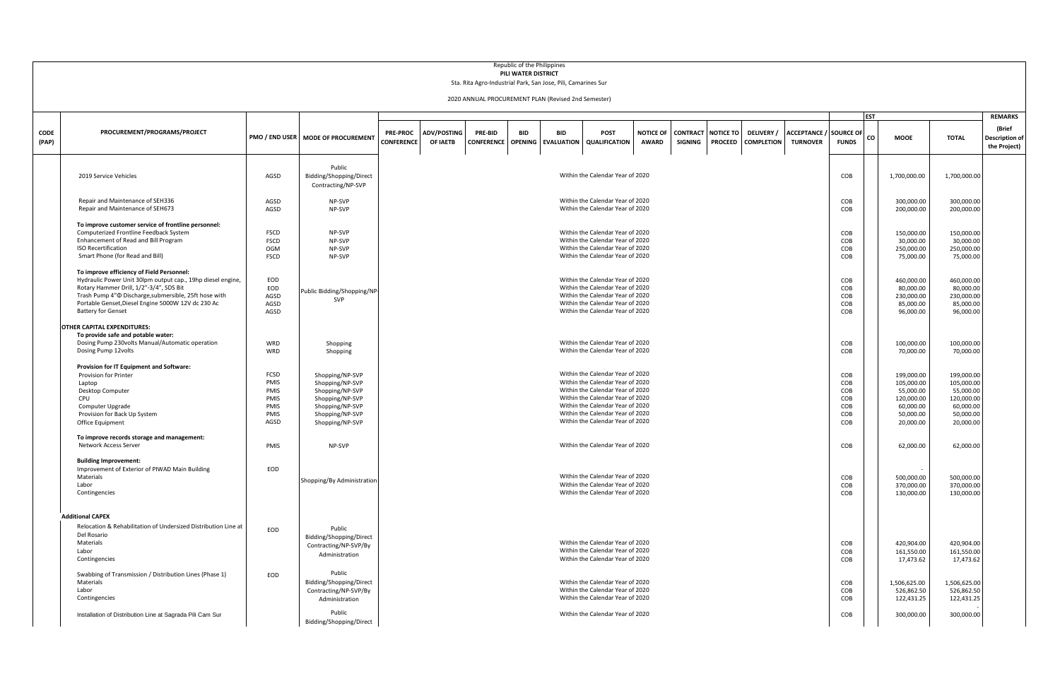|               |                                                                                                                                                                                                                                                                                                |                                                         |                                                                                                                                   |                                      |                         |                              | Republic of the Philippines<br>PILI WATER DISTRICT | Sta. Rita Agro-Industrial Park, San Jose, Pili, Camarines Sur<br>2020 ANNUAL PROCUREMENT PLAN (Revised 2nd Semester) |                                                                                                                                                                                                                                                          |                                  |                                   |                                    |                                        |                                                  |                                               |             |                                                                                            |                                                                                            |                                                 |
|---------------|------------------------------------------------------------------------------------------------------------------------------------------------------------------------------------------------------------------------------------------------------------------------------------------------|---------------------------------------------------------|-----------------------------------------------------------------------------------------------------------------------------------|--------------------------------------|-------------------------|------------------------------|----------------------------------------------------|----------------------------------------------------------------------------------------------------------------------|----------------------------------------------------------------------------------------------------------------------------------------------------------------------------------------------------------------------------------------------------------|----------------------------------|-----------------------------------|------------------------------------|----------------------------------------|--------------------------------------------------|-----------------------------------------------|-------------|--------------------------------------------------------------------------------------------|--------------------------------------------------------------------------------------------|-------------------------------------------------|
|               | <b>EST</b><br><b>REMARKS</b>                                                                                                                                                                                                                                                                   |                                                         |                                                                                                                                   |                                      |                         |                              |                                                    |                                                                                                                      |                                                                                                                                                                                                                                                          |                                  |                                   |                                    |                                        |                                                  |                                               |             |                                                                                            |                                                                                            |                                                 |
| CODE<br>(PAP) | PROCUREMENT/PROGRAMS/PROJECT                                                                                                                                                                                                                                                                   |                                                         | PMO / END USER   MODE OF PROCUREMENT                                                                                              | <b>PRE-PROC</b><br><b>CONFERENCE</b> | ADV/POSTING<br>OF IAETB | PRE-BID<br><b>CONFERENCE</b> | <b>BID</b><br><b>OPENING</b>                       | <b>RID</b>                                                                                                           | <b>POST</b><br><b>EVALUATION QUALIFICATION</b>                                                                                                                                                                                                           | <b>NOTICE OF</b><br><b>AWARD</b> | <b>CONTRACT</b><br><b>SIGNING</b> | <b>NOTICE TO</b><br><b>PROCEED</b> | <b>DELIVERY</b> /<br><b>COMPLETION</b> | <b>ACCEPTANCE / SOURCE OF</b><br><b>TURNOVER</b> | CO<br><b>FUNDS</b>                            | <b>MOOE</b> |                                                                                            | <b>TOTAL</b>                                                                               | (Brief<br><b>Description of</b><br>the Project) |
|               | 2019 Service Vehicles                                                                                                                                                                                                                                                                          | AGSD                                                    | Public<br>Bidding/Shopping/Direct<br>Contracting/NP-SVP                                                                           |                                      |                         |                              |                                                    |                                                                                                                      | Within the Calendar Year of 2020                                                                                                                                                                                                                         |                                  |                                   |                                    |                                        |                                                  | COB                                           |             | 1,700,000.00                                                                               | 1,700,000.00                                                                               |                                                 |
|               | Repair and Maintenance of SEH336<br>Repair and Maintenance of SEH673                                                                                                                                                                                                                           | AGSD<br>AGSD                                            | NP-SVP<br>NP-SVP                                                                                                                  |                                      |                         |                              |                                                    |                                                                                                                      | Within the Calendar Year of 2020<br>Within the Calendar Year of 2020                                                                                                                                                                                     |                                  |                                   |                                    |                                        |                                                  | COB<br>COB                                    |             | 300,000.00<br>200,000.00                                                                   | 300,000.00<br>200,000.00                                                                   |                                                 |
|               | To improve customer service of frontline personnel:<br>Computerized Frontline Feedback System<br>Enhancement of Read and Bill Program<br><b>ISO Recertification</b><br>Smart Phone (for Read and Bill)                                                                                         | <b>FSCD</b><br><b>FSCD</b><br><b>OGM</b><br><b>FSCD</b> | NP-SVP<br>NP-SVP<br>NP-SVP<br>NP-SVP                                                                                              |                                      |                         |                              |                                                    |                                                                                                                      | Within the Calendar Year of 2020<br>Within the Calendar Year of 2020<br>Within the Calendar Year of 2020<br>Within the Calendar Year of 2020                                                                                                             |                                  |                                   |                                    |                                        |                                                  | COB<br>COB<br>COB<br>COB                      |             | 150,000.00<br>30,000.00<br>250,000.00<br>75,000.00                                         | 150,000.00<br>30,000.00<br>250,000.00<br>75,000.00                                         |                                                 |
|               | To improve efficiency of Field Personnel:<br>Hydraulic Power Unit 30lpm output cap., 19hp diesel engine,<br>Rotary Hammer Drill, 1/2"-3/4", SDS Bit<br>Trash Pump 4" Tischarge, submersible, 25ft hose with<br>Portable Genset, Diesel Engine 5000W 12V dc 230 Ac<br><b>Battery for Genset</b> | EOD<br>EOD<br>AGSD<br>AGSD<br>AGSD                      | Public Bidding/Shopping/NP<br>SVP                                                                                                 |                                      |                         |                              |                                                    |                                                                                                                      | Within the Calendar Year of 2020<br>Within the Calendar Year of 2020<br>Within the Calendar Year of 2020<br>Within the Calendar Year of 2020<br>Within the Calendar Year of 2020                                                                         |                                  |                                   |                                    |                                        |                                                  | COB<br>COB<br>COB<br>COB<br>COB               |             | 460,000.00<br>80,000.00<br>230,000.00<br>85,000.00<br>96,000.00                            | 460,000.00<br>80,000.00<br>230,000.00<br>85,000.00<br>96,000.00                            |                                                 |
|               | OTHER CAPITAL EXPENDITURES:<br>To provide safe and potable water:<br>Dosing Pump 230volts Manual/Automatic operation<br>Dosing Pump 12volts                                                                                                                                                    | WRD<br>WRD                                              | Shopping<br>Shopping                                                                                                              |                                      |                         |                              |                                                    |                                                                                                                      | Within the Calendar Year of 2020<br>Within the Calendar Year of 2020                                                                                                                                                                                     |                                  |                                   |                                    |                                        |                                                  | COB<br>COB                                    |             | 100,000.00<br>70,000.00                                                                    | 100,000.00<br>70,000.00                                                                    |                                                 |
|               | Provision for IT Equipment and Software:<br>Provision for Printer<br>Laptop<br><b>Desktop Computer</b><br>CPU<br>Computer Upgrade<br>Provision for Back Up System<br>Office Equipment                                                                                                          | FCSD<br>PMIS<br>PMIS<br>PMIS<br>PMIS<br>PMIS<br>AGSD    | Shopping/NP-SVP<br>Shopping/NP-SVP<br>Shopping/NP-SVP<br>Shopping/NP-SVP<br>Shopping/NP-SVP<br>Shopping/NP-SVP<br>Shopping/NP-SVP |                                      |                         |                              |                                                    |                                                                                                                      | Within the Calendar Year of 2020<br>Within the Calendar Year of 2020<br>Within the Calendar Year of 2020<br>Within the Calendar Year of 2020<br>Within the Calendar Year of 2020<br>Within the Calendar Year of 2020<br>Within the Calendar Year of 2020 |                                  |                                   |                                    |                                        |                                                  | COB<br>COB<br>COB<br>COB<br>COB<br>COB<br>COB |             | 199,000.00<br>105,000.00<br>55,000.00<br>120,000.00<br>60,000.00<br>50,000.00<br>20,000.00 | 199,000.00<br>105,000.00<br>55,000.00<br>120,000.00<br>60,000.00<br>50,000.00<br>20,000.00 |                                                 |
|               | To improve records storage and management:<br>Network Access Server                                                                                                                                                                                                                            | PMIS                                                    | NP-SVP                                                                                                                            |                                      |                         |                              |                                                    |                                                                                                                      | Within the Calendar Year of 2020                                                                                                                                                                                                                         |                                  |                                   |                                    |                                        |                                                  | COB                                           |             | 62,000.00                                                                                  | 62,000.00                                                                                  |                                                 |
|               | <b>Building Improvement:</b><br>Improvement of Exterior of PIWAD Main Building<br>Materials<br>Labor<br>Contingencies                                                                                                                                                                          | EOD                                                     | Shopping/By Administration                                                                                                        |                                      |                         |                              |                                                    |                                                                                                                      | Within the Calendar Year of 2020<br>Within the Calendar Year of 2020<br>Within the Calendar Year of 2020                                                                                                                                                 |                                  |                                   |                                    |                                        |                                                  | COB<br>COB<br>COB                             |             | 500,000.00<br>370,000.00<br>130,000.00                                                     | 500,000.00<br>370,000.00<br>130,000.00                                                     |                                                 |
|               | <b>Additional CAPEX</b><br>Relocation & Rehabilitation of Undersized Distribution Line at<br>Del Rosario<br>Materials<br>Labor<br>Contingencies                                                                                                                                                | EOD                                                     | Public<br>Bidding/Shopping/Direct<br>Contracting/NP-SVP/By<br>Administration                                                      |                                      |                         |                              |                                                    |                                                                                                                      | Within the Calendar Year of 2020<br>Within the Calendar Year of 2020<br>Within the Calendar Year of 2020                                                                                                                                                 |                                  |                                   |                                    |                                        |                                                  | COB<br>COB<br>COB                             |             | 420,904.00<br>161,550.00<br>17,473.62                                                      | 420,904.00<br>161,550.00<br>17,473.62                                                      |                                                 |
|               | Swabbing of Transmission / Distribution Lines (Phase 1)<br>Materials<br>Labor<br>Contingencies                                                                                                                                                                                                 | EOD                                                     | Public<br>Bidding/Shopping/Direct<br>Contracting/NP-SVP/By<br>Administration                                                      |                                      |                         |                              |                                                    |                                                                                                                      | Within the Calendar Year of 2020<br>Within the Calendar Year of 2020<br>Within the Calendar Year of 2020                                                                                                                                                 |                                  |                                   |                                    |                                        |                                                  | COB<br>COB<br>COB                             |             | 1,506,625.00<br>526,862.50<br>122,431.25                                                   | 1,506,625.00<br>526,862.50<br>122,431.25                                                   |                                                 |
|               | Installation of Distribution Line at Sagrada Pili Cam Sur                                                                                                                                                                                                                                      |                                                         | Public<br>Bidding/Shopping/Direct                                                                                                 |                                      |                         |                              |                                                    |                                                                                                                      | Within the Calendar Year of 2020                                                                                                                                                                                                                         |                                  |                                   |                                    |                                        |                                                  | COB                                           |             | 300,000.00                                                                                 | 300,000.00                                                                                 |                                                 |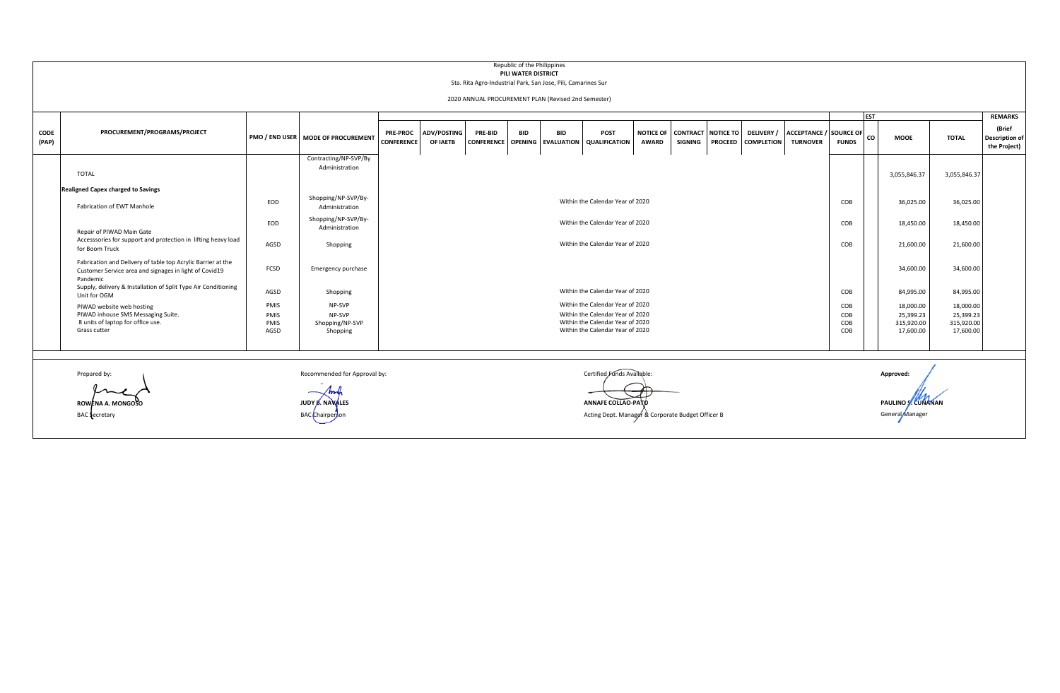|               | Republic of the Philippines<br>PILI WATER DISTRICT<br>Sta. Rita Agro-Industrial Park, San Jose, Pili, Camarines Sur<br>2020 ANNUAL PROCUREMENT PLAN (Revised 2nd Semester)<br><b>IEST</b> |                                       |                                                 |                                      |                         |                                      |            |            |                                                                                                                                              |              |                                                |                |                                        |                                                  |                          |           |                                                   |                                                   |                                                 |
|---------------|-------------------------------------------------------------------------------------------------------------------------------------------------------------------------------------------|---------------------------------------|-------------------------------------------------|--------------------------------------|-------------------------|--------------------------------------|------------|------------|----------------------------------------------------------------------------------------------------------------------------------------------|--------------|------------------------------------------------|----------------|----------------------------------------|--------------------------------------------------|--------------------------|-----------|---------------------------------------------------|---------------------------------------------------|-------------------------------------------------|
|               |                                                                                                                                                                                           |                                       |                                                 |                                      |                         |                                      |            |            |                                                                                                                                              |              |                                                |                |                                        |                                                  |                          |           |                                                   | <b>REMARKS</b>                                    |                                                 |
| CODE<br>(PAP) | PROCUREMENT/PROGRAMS/PROJECT                                                                                                                                                              |                                       | PMO / END USER   MODE OF PROCUREMENT            | <b>PRE-PROC</b><br><b>CONFERENCE</b> | ADV/POSTING<br>OF IAETB | PRE-BID<br><b>CONFERENCE OPENING</b> | <b>BID</b> | <b>BID</b> | POST<br><b>EVALUATION QUALIFICATION</b>                                                                                                      | <b>AWARD</b> | NOTICE OF CONTRACT NOTICE TO<br><b>SIGNING</b> | <b>PROCEED</b> | <b>DELIVERY</b> /<br><b>COMPLETION</b> | <b>ACCEPTANCE / SOURCE OF</b><br><b>TURNOVER</b> | <b>FUNDS</b>             | co        | <b>MOOE</b>                                       | <b>TOTAL</b>                                      | (Brief<br><b>Description of</b><br>the Project) |
|               | <b>TOTAL</b>                                                                                                                                                                              |                                       | Contracting/NP-SVP/By<br>Administration         |                                      |                         |                                      |            |            |                                                                                                                                              |              |                                                |                |                                        |                                                  |                          |           | 3,055,846.37                                      | 3,055,846.37                                      |                                                 |
|               | <b>Realigned Capex charged to Savings</b>                                                                                                                                                 |                                       |                                                 |                                      |                         |                                      |            |            |                                                                                                                                              |              |                                                |                |                                        |                                                  |                          |           |                                                   |                                                   |                                                 |
|               | <b>Fabrication of EWT Manhole</b>                                                                                                                                                         | Within the Calendar Year of 2020      |                                                 |                                      |                         |                                      |            |            |                                                                                                                                              |              |                                                |                |                                        |                                                  | 36,025.00                | 36,025.00 |                                                   |                                                   |                                                 |
|               | Repair of PIWAD Main Gate                                                                                                                                                                 | Shopping/NP-SVP/By-<br>Administration |                                                 | Within the Calendar Year of 2020     |                         |                                      |            |            |                                                                                                                                              |              |                                                |                |                                        |                                                  |                          | 18,450.00 | 18,450.00                                         |                                                   |                                                 |
|               | Accesssories for support and protection in lifting heavy load<br>for Boom Truck                                                                                                           | AGSD                                  | Shopping                                        |                                      |                         |                                      |            |            | Within the Calendar Year of 2020                                                                                                             |              |                                                |                |                                        |                                                  | COB                      |           | 21,600.00                                         | 21,600.00                                         |                                                 |
|               | Fabrication and Delivery of table top Acrylic Barrier at the<br>Customer Service area and signages in light of Covid19<br>Pandemic                                                        | FCSD                                  | Emergency purchase                              |                                      |                         |                                      |            |            |                                                                                                                                              |              |                                                |                |                                        |                                                  |                          |           | 34,600.00                                         | 34,600.00                                         |                                                 |
|               | Supply, delivery & Installation of Split Type Air Conditioning<br>Unit for OGM                                                                                                            | AGSD                                  | Shopping                                        |                                      |                         |                                      |            |            | Within the Calendar Year of 2020                                                                                                             |              |                                                |                |                                        |                                                  | COB                      |           | 84,995.00                                         | 84,995.00                                         |                                                 |
|               | PIWAD website web hosting<br>PIWAD inhouse SMS Messaging Suite.<br>8 units of laptop for office use.<br>Grass cutter                                                                      | <b>PMIS</b><br>PMIS<br>PMIS<br>AGSD   | NP-SVP<br>NP-SVP<br>Shopping/NP-SVP<br>Shopping |                                      |                         |                                      |            |            | Within the Calendar Year of 2020<br>Within the Calendar Year of 2020<br>Within the Calendar Year of 2020<br>Within the Calendar Year of 2020 |              |                                                |                |                                        |                                                  | COB<br>COB<br>COB<br>COB |           | 18,000.00<br>25,399.23<br>315,920.00<br>17,600.00 | 18,000.00<br>25,399.23<br>315,920.00<br>17,600.00 |                                                 |

n

Inch

Prepared by: **Example Approved:** Recommended for Approval by: **Approved:** Certified Funds Available: **Approved: Approved: Approved: Approved: Approved: Approved: Approved: Approved: Approved: Approved: ROWENA A. MONGOSO JUDY B. NAVALES ANNAFE COLLAO-PATO**  $\texttt{BAC}$ Chairperson **BAC**  $\texttt{C}$  BAC  $\texttt{C}$  BAC Chairperson Acting Dept. Manager  $\texttt{B}$  Corporate Budget Officer B

**PAULINO S.** CUMANAN General Manager